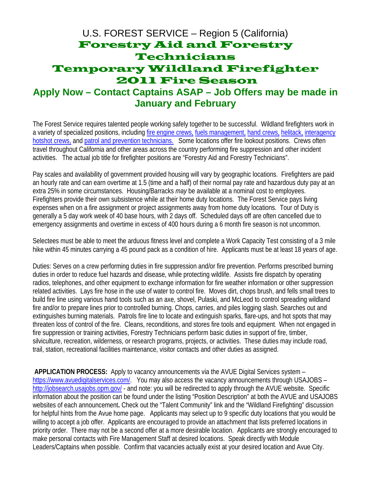## U.S. FOREST SERVICE – Region 5 (California) Forestry Aid and Forestry Technicians Temporary Wildland Firefighter 2011 Fire Season **Apply Now – Contact Captains ASAP – Job Offers may be made in**

## **January and February**

The Forest Service requires talented people working safely together to be successful. Wildland firefighters work in a variety of specialized positions, including fire engine crews, fuels management, hand crews, helitack, interagency hotshot crews, and patrol and prevention technicians. Some locations offer fire lookout positions. Crews often travel throughout California and other areas across the country performing fire suppression and other incident activities. The actual job title for firefighter positions are "Forestry Aid and Forestry Technicians".

Pay scales and availability of government provided housing will vary by geographic locations. Firefighters are paid an hourly rate and can earn overtime at 1.5 (time and a half) of their normal pay rate and hazardous duty pay at an extra 25% in some circumstances. Housing/Barracks *may* be available at a nominal cost to employees. Firefighters provide their own subsistence while at their home duty locations. The Forest Service pays living expenses when on a fire assignment or project assignments away from home duty locations. Tour of Duty is generally a 5 day work week of 40 base hours, with 2 days off. Scheduled days off are often cancelled due to emergency assignments and overtime in excess of 400 hours during a 6 month fire season is not uncommon.

Selectees must be able to meet the arduous fitness level and complete a Work Capacity Test consisting of a 3 mile hike within 45 minutes carrying a 45 pound pack as a condition of hire. Applicants must be at least 18 years of age.

Duties: Serves on a crew performing duties in fire suppression and/or fire prevention. Performs prescribed burning duties in order to reduce fuel hazards and disease, while protecting wildlife. Assists fire dispatch by operating radios, telephones, and other equipment to exchange information for fire weather information or other suppression related activities. Lays fire hose in the use of water to control fire. Moves dirt, chops brush, and fells small trees to build fire line using various hand tools such as an axe, shovel, Pulaski, and McLeod to control spreading wildland fire and/or to prepare lines prior to controlled burning. Chops, carries, and piles logging slash. Searches out and extinguishes burning materials. Patrols fire line to locate and extinguish sparks, flare-ups, and hot spots that may threaten loss of control of the fire. Cleans, reconditions, and stores fire tools and equipment. When not engaged in fire suppression or training activities, Forestry Technicians perform basic duties in support of fire, timber, silviculture, recreation, wilderness, or research programs, projects, or activities. These duties may include road, trail, station, recreational facilities maintenance, visitor contacts and other duties as assigned.

**APPLICATION PROCESS:** Apply to vacancy announcements via the AVUE Digital Services system – https://www.avuedigitalservices.com/. You may also access the vacancy announcements through USAJOBS – http://jobsearch.usajobs.opm.gov/ - and note: you will be redirected to apply through the AVUE website. Specific information about the position can be found under the listing "Position Description" at both the AVUE and USAJOBS websites of each announcement**.** Check out the "Talent Community" link and the "Wildland Firefighting" discussion for helpful hints from the Avue home page. Applicants may select up to 9 specific duty locations that you would be willing to accept a job offer. Applicants are encouraged to provide an attachment that lists preferred locations in priority order. There may not be a second offer at a more desirable location. Applicants are strongly encouraged to make personal contacts with Fire Management Staff at desired locations. Speak directly with Module Leaders/Captains when possible. Confirm that vacancies actually exist at your desired location and Avue City.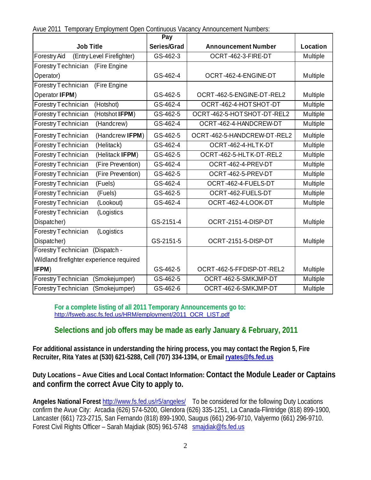|  |  |  | Avue 2011 Temporary Employment Open Continuous Vacancy Announcement Numbers: |  |
|--|--|--|------------------------------------------------------------------------------|--|
|  |  |  |                                                                              |  |

|                                             | Pay         |                             |          |
|---------------------------------------------|-------------|-----------------------------|----------|
| <b>Job Title</b>                            | Series/Grad | <b>Announcement Number</b>  | Location |
| Forestry Aid<br>(Entry Level Firefighter)   | GS-462-3    | OCRT-462-3-FIRE-DT          | Multiple |
| (Fire Engine<br>Forestry Technician         |             |                             |          |
| Operator)                                   | GS-462-4    | OCRT-462-4-ENGINE-DT        | Multiple |
| Forestry Technician<br>(Fire Engine         |             |                             |          |
| Operator IFPM)                              | GS-462-5    | OCRT-462-5-ENGINE-DT-REL2   | Multiple |
| Forestry Technician<br>(Hotshot)            | GS-462-4    | OCRT-462-4-HOTSHOT-DT       | Multiple |
| (Hotshot IFPM)<br>Forestry Technician       | GS-462-5    | OCRT-462-5-HOTSHOT-DT-REL2  | Multiple |
| Forestry Technician<br>(Handcrew)           | GS-462-4    | OCRT-462-4-HANDCREW-DT      | Multiple |
| (Handcrew IFPM)<br>Forestry Technician      | GS-462-5    | OCRT-462-5-HANDCREW-DT-REL2 | Multiple |
| Forestry Technician<br>(Helitack)           | GS-462-4    | OCRT-462-4-HLTK-DT          | Multiple |
| Forestry Technician<br>(Helitack IFPM)      | GS-462-5    | OCRT-462-5-HLTK-DT-REL2     | Multiple |
| Forestry Technician<br>(Fire Prevention)    | GS-462-4    | OCRT-462-4-PREV-DT          | Multiple |
| Forestry Technician<br>(Fire Prevention)    | GS-462-5    | OCRT-462-5-PREV-DT          | Multiple |
| Forestry Technician<br>(Fuels)              | GS-462-4    | OCRT-462-4-FUELS-DT         | Multiple |
| Forestry Technician<br>(Fuels)              | GS-462-5    | OCRT-462-FUELS-DT           | Multiple |
| Forestry Technician<br>(Lookout)            | GS-462-4    | OCRT-462-4-LOOK-DT          | Multiple |
| Forestry Technician<br>(Logistics           |             |                             |          |
| Dispatcher)                                 | GS-2151-4   | OCRT-2151-4-DISP-DT         | Multiple |
| Forestry Technician<br>(Logistics           |             |                             |          |
| Dispatcher)                                 | GS-2151-5   | OCRT-2151-5-DISP-DT         | Multiple |
| Forestry Technician<br>(Dispatch -          |             |                             |          |
| Wildland firefighter experience required    |             |                             |          |
| IFPM)                                       | GS-462-5    | OCRT-462-5-FFDISP-DT-REL2   | Multiple |
| (Smokejumper)<br>Forestry Technician        | GS-462-5    | OCRT-462-5-SMKJMP-DT        | Multiple |
| <b>Forestry Technician</b><br>(Smokejumper) | GS-462-6    | OCRT-462-6-SMKJMP-DT        | Multiple |

**For a complete listing of all 2011 Temporary Announcements go to:**  http://fsweb.asc.fs.fed.us/HRM/employment/2011\_OCR\_LIST.pdf

## **Selections and job offers may be made as early January & February, 2011**

**For additional assistance in understanding the hiring process, you may contact the Region 5, Fire Recruiter, Rita Yates at (530) 621-5288, Cell (707) 334-1394, or Email ryates@fs.fed.us** 

**Duty Locations – Avue Cities and Local Contact Information: Contact the Module Leader or Captains and confirm the correct Avue City to apply to.** 

**Angeles National Forest** http://www.fs.fed.us/r5/angeles/ To be considered for the following Duty Locations confirm the Avue City: Arcadia (626) 574-5200, Glendora (626) 335-1251, La Canada-Flintridge (818) 899-1900, Lancaster (661) 723-2715, San Fernando (818) 899-1900, Saugus (661) 296-9710, Valyermo (661) 296-9710. Forest Civil Rights Officer - Sarah Majdiak (805) 961-5748 smajdiak@fs.fed.us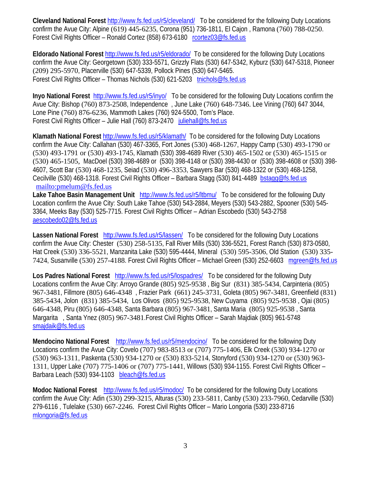**Cleveland National Forest** http://www.fs.fed.us/r5/cleveland/ To be considered for the following Duty Locations confirm the Avue City: Alpine (619) 445-6235, Corona (951) 736-1811, El Cajon , Ramona (760) 788-0250. Forest Civil Rights Officer – Ronald Cortez (858) 673-6180 rcortez03@fs.fed.us

**Eldorado National Forest** http://www.fs.fed.us/r5/eldorado/ To be considered for the following Duty Locations confirm the Avue City: Georgetown (530) 333-5571, Grizzly Flats (530) 647-5342, Kyburz (530) 647-5318, Pioneer (209) 295-5970, Placerville (530) 647-5339, Pollock Pines (530) 647-5465. Forest Civil Rights Officer – Thomas Nichols (530) 621-5203 tnichols@fs.fed.us

**Inyo National Forest** http://www.fs.fed.us/r5/inyo/ To be considered for the following Duty Locations confirm the Avue City: Bishop (760) 873-2508, Independence , June Lake (760) 648-7346. Lee Vining (760) 647 3044, Lone Pine (760) 876-6236, Mammoth Lakes (760) 924-5500, Tom's Place. Forest Civil Rights Officer – Julie Hall (760) 873-2470 juliehall@fs.fed.us

**Klamath National Forest** http://www.fs.fed.us/r5/klamath/ To be considered for the following Duty Locations confirm the Avue City: Callahan (530) 467-3365, Fort Jones (530) 468-1267, Happy Camp (530) 493-1790 or (530) 493-1791 or (530) 493-1745, Klamath (530) 398-4689 River (530) 465-1502 or (530) 465-1515 or (530) 465-1505, MacDoel (530) 398-4689 or (530) 398-4148 or (530) 398-4430 or (530) 398-4608 or (530) 398- 4607, Scott Bar (530) 468-1235, Seiad (530) 496-3353, Sawyers Bar (530) 468-1322 or (530) 468-1258, Cecilville (530) 468-1318. Forest Civil Rights Officer – Barbara Stagg (530) 841-4489 bstagg@fs.fed.us mailto:pmelum@fs.fed.us

**Lake Tahoe Basin Management Unit** http://www.fs.fed.us/r5/ltbmu/ To be considered for the following Duty Location confirm the Avue City: South Lake Tahoe (530) 543-2884, Meyers (530) 543-2882, Spooner (530) 545- 3364, Meeks Bay (530) 525-7715. Forest Civil Rights Officer – Adrian Escobedo (530) 543-2758 aescobedo02@fs.fed.us

**Lassen National Forest** http://www.fs.fed.us/r5/lassen/ To be considered for the following Duty Locations confirm the Avue City: Chester (530) 258-5135, Fall River Mills (530) 336-5521, Forest Ranch (530) 873-0580, Hat Creek (530) 336-5521, Manzanita Lake (530) 595-4444, Mineral (530) 595-3506, Old Station (530) 335- 7424, Susanville (530) 257-4188. Forest Civil Rights Officer – Michael Green (530) 252-6603 mgreen@fs.fed.us

**Los Padres National Forest** http://www.fs.fed.us/r5/lospadres/ To be considered for the following Duty Locations confirm the Avue City: Arroyo Grande (805) 925-9538 , Big Sur (831) 385-5434, Carpinteria (805) 967-3481, Fillmore (805) 646-4348 , Frazier Park (661) 245-3731, Goleta (805) 967-3481, Greenfield (831) 385-5434, Jolon (831) 385-5434, Los Olivos (805) 925-9538, New Cuyama (805) 925-9538 , Ojai (805) 646-4348, Piru (805) 646-4348, Santa Barbara (805) 967-3481, Santa Maria (805) 925-9538 , Santa Margarita , Santa Ynez (805) 967-3481.Forest Civil Rights Officer – Sarah Majdiak (805) 961-5748 smajdaik@fs.fed.us Ī

**Mendocino National Forest** http://www.fs.fed.us/r5/mendocino/ To be considered for the following Duty Locations confirm the Avue City: Covelo (707) 983-8513 or (707) 775-1406, Elk Creek (530) 934-1270 or (530) 963-1311, Paskenta (530) 934-1270 or (530) 833-5214, Stonyford (530) 934-1270 or (530) 963- 1311, Upper Lake (707) 775-1406 or (707) 775-1441, Willows (530) 934-1155. Forest Civil Rights Officer – Barbara Leach (530) 934-1103 bleach@fs.fed.us

**Modoc National Forest** http://www.fs.fed.us/r5/modoc/ To be considered for the following Duty Locations confirm the Avue City: Adin (530) 299-3215, Alturas (530) 233-5811, Canby (530) 233-7960, Cedarville (530) 279-6116 , Tulelake (530) 667-2246. Forest Civil Rights Officer – Mario Longoria (530) 233-8716 mlongoria@fs.fed.us